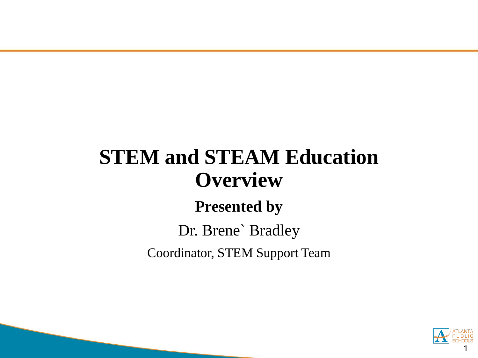# **STEM and STEAM Education Overview**

### **Presented by**

### Dr. Brene` Bradley Coordinator, STEM Support Team

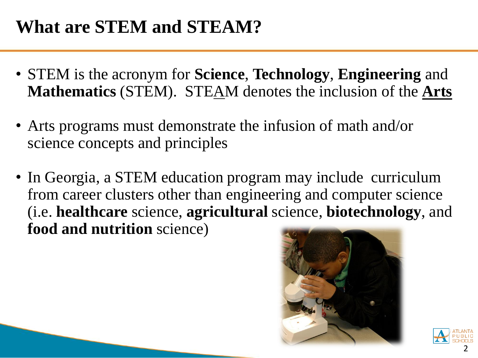### **What are STEM and STEAM?**

- STEM is the acronym for **Science**, **Technology**, **Engineering** and **Mathematics** (STEM). STEAM denotes the inclusion of the **Arts**
- Arts programs must demonstrate the infusion of math and/or science concepts and principles
- In Georgia, a STEM education program may include curriculum from career clusters other than engineering and computer science (i.e. **healthcare** science, **agricultural** science, **biotechnology**, and **food and nutrition** science)



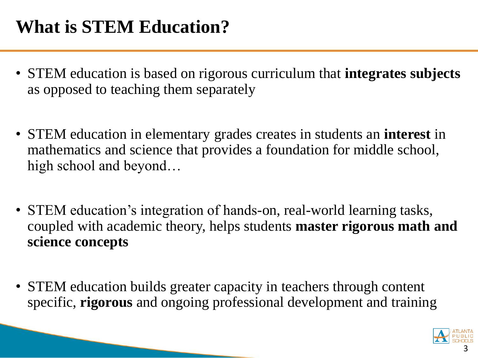# **What is STEM Education?**

- STEM education is based on rigorous curriculum that **integrates subjects**  as opposed to teaching them separately
- STEM education in elementary grades creates in students an **interest** in mathematics and science that provides a foundation for middle school, high school and beyond…
- STEM education's integration of hands-on, real-world learning tasks, coupled with academic theory, helps students **master rigorous math and science concepts**
- STEM education builds greater capacity in teachers through content specific, **rigorous** and ongoing professional development and training

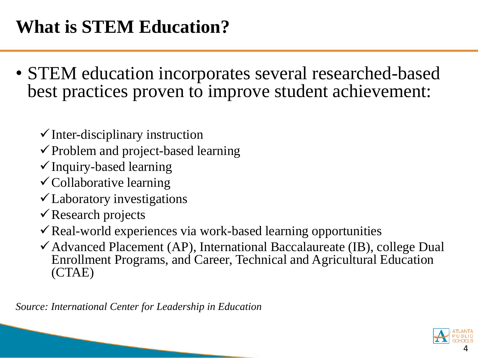# **What is STEM Education?**

- STEM education incorporates several researched-based best practices proven to improve student achievement:
	- $\checkmark$  Inter-disciplinary instruction
	- $\checkmark$  Problem and project-based learning
	- Inquiry-based learning
	- $\checkmark$  Collaborative learning
	- Laboratory investigations
	- Research projects
	- $\checkmark$  Real-world experiences via work-based learning opportunities
	- $\checkmark$  Advanced Placement (AP), International Baccalaureate (IB), college Dual Enrollment Programs, and Career, Technical and Agricultural Education (CTAE)

*Source: International Center for Leadership in Education*

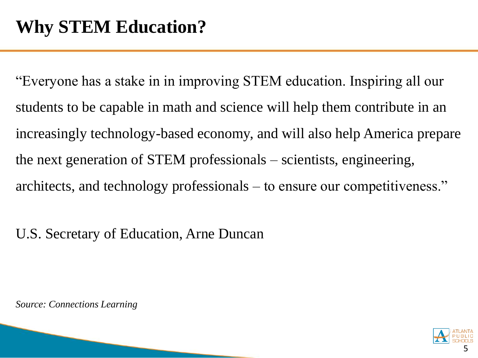"Everyone has a stake in in improving STEM education. Inspiring all our students to be capable in math and science will help them contribute in an increasingly technology-based economy, and will also help America prepare the next generation of STEM professionals – scientists, engineering, architects, and technology professionals – to ensure our competitiveness."

U.S. Secretary of Education, Arne Duncan

*Source: Connections Learning* 

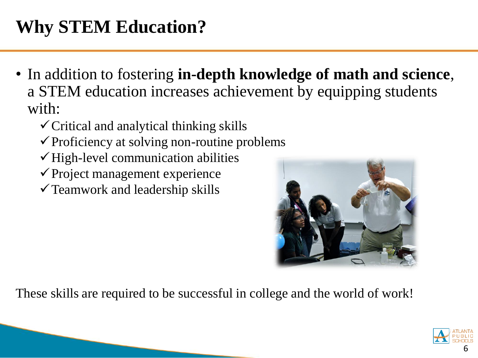- In addition to fostering **in-depth knowledge of math and science**, a STEM education increases achievement by equipping students with:
	- $\checkmark$  Critical and analytical thinking skills
	- $\checkmark$  Proficiency at solving non-routine problems
	- $\checkmark$  High-level communication abilities
	- $\checkmark$  Project management experience
	- $\checkmark$  Teamwork and leadership skills



These skills are required to be successful in college and the world of work!

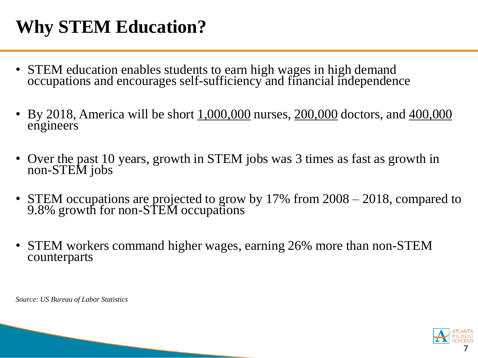- STEM education enables students to earn high wages in high demand occupations and encourages self-sufficiency and financial independence
- By 2018, America will be short  $1,000,000$  nurses,  $200,000$  doctors, and  $400,000$ engineers
- Over the past 10 years, growth in STEM jobs was 3 times as fast as growth in non-STEM jobs
- STEM occupations are projected to grow by 17% from 2008 2018, compared to 9.8% growth for non-STEM occupations
- STEM workers command higher wages, earning 26% more than non-STEM counterparts

*Source: US Bureau of Labor Statistics* 

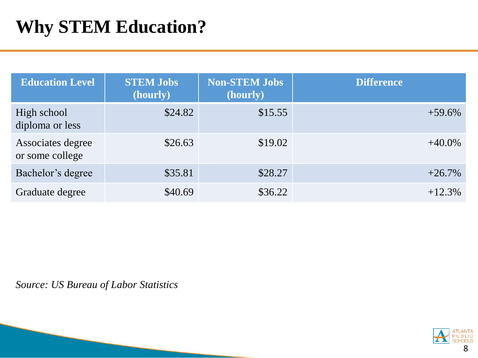| <b>Education Level</b>               | <b>STEM Jobs</b><br>(hourly) | <b>Non-STEM Jobs</b><br>(hourly) | <b>Difference</b> |
|--------------------------------------|------------------------------|----------------------------------|-------------------|
| High school<br>diploma or less       | \$24.82                      | \$15.55                          | $+59.6\%$         |
| Associates degree<br>or some college | \$26.63                      | \$19.02                          | $+40.0\%$         |
| Bachelor's degree                    | \$35.81                      | \$28.27                          | $+26.7%$          |
| Graduate degree                      | \$40.69                      | \$36.22                          | $+12.3%$          |

*Source: US Bureau of Labor Statistics*

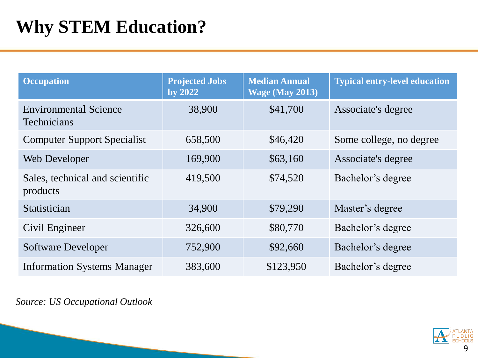| <b>Occupation</b>                                  | <b>Projected Jobs</b><br>by 2022 | <b>Median Annual</b><br><b>Wage (May 2013)</b> | <b>Typical entry-level education</b> |
|----------------------------------------------------|----------------------------------|------------------------------------------------|--------------------------------------|
| <b>Environmental Science</b><br><b>Technicians</b> | 38,900                           | \$41,700                                       | Associate's degree                   |
| <b>Computer Support Specialist</b>                 | 658,500                          | \$46,420                                       | Some college, no degree              |
| Web Developer                                      | 169,900                          | \$63,160                                       | Associate's degree                   |
| Sales, technical and scientific<br>products        | 419,500                          | \$74,520                                       | Bachelor's degree                    |
| Statistician                                       | 34,900                           | \$79,290                                       | Master's degree                      |
| Civil Engineer                                     | 326,600                          | \$80,770                                       | Bachelor's degree                    |
| <b>Software Developer</b>                          | 752,900                          | \$92,660                                       | Bachelor's degree                    |
| <b>Information Systems Manager</b>                 | 383,600                          | \$123,950                                      | Bachelor's degree                    |

*Source: US Occupational Outlook*

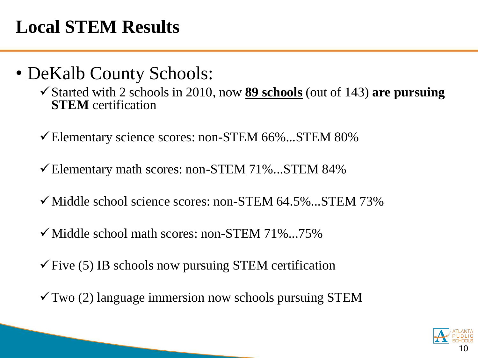## **Local STEM Results**

- DeKalb County Schools:
	- Started with 2 schools in 2010, now **89 schools** (out of 143) **are pursuing STEM** certification
	- Elementary science scores: non-STEM 66%...STEM 80%
	- $\checkmark$  Elementary math scores: non-STEM 71%...STEM 84%
	- $\checkmark$  Middle school science scores: non-STEM 64.5%...STEM 73%
	- $\checkmark$  Middle school math scores: non-STEM 71%...75%
	- $\checkmark$  Five (5) IB schools now pursuing STEM certification
	- $\checkmark$  Two (2) language immersion now schools pursuing STEM

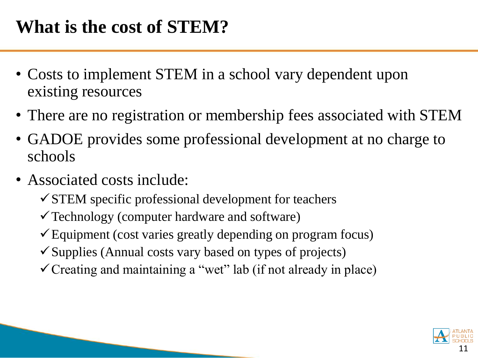## **What is the cost of STEM?**

- Costs to implement STEM in a school vary dependent upon existing resources
- There are no registration or membership fees associated with STEM
- GADOE provides some professional development at no charge to schools
- Associated costs include:
	- $\checkmark$  STEM specific professional development for teachers
	- $\checkmark$  Technology (computer hardware and software)
	- $\checkmark$  Equipment (cost varies greatly depending on program focus)
	- $\checkmark$  Supplies (Annual costs vary based on types of projects)
	- $\checkmark$  Creating and maintaining a "wet" lab (if not already in place)

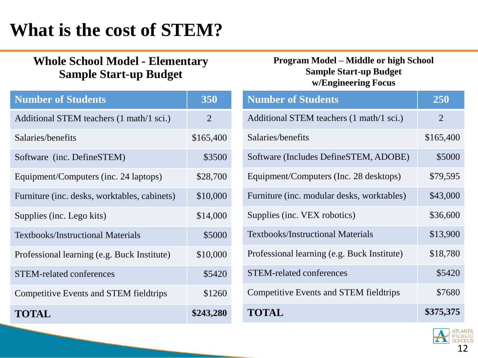# **What is the cost of STEM?**

#### **Whole School Model - Elementary Sample Start-up Budget**

### **Number of Students 1 350** Additional STEM teachers (1 math/1 sci.) 2 Salaries/benefits \$165,400 Software (inc. DefineSTEM) \$3500 Equipment/Computers (inc. 24 laptops) \$28,700 Furniture (inc. desks, worktables, cabinets) \$10,000 Supplies (inc. Lego kits) \$14,000 Textbooks/Instructional Materials  $$5000$ Professional learning (e.g. Buck Institute) \$10,000 STEM-related conferences  $$5420$ Competitive Events and STEM fieldtrips \$1260 **TOTAL \$243,280**

#### **Program Model – Middle or high School Sample Start-up Budget w/Engineering Focus**

| <b>Number of Students</b>                     | 250            |
|-----------------------------------------------|----------------|
| Additional STEM teachers (1 math/1 sci.)      | $\overline{2}$ |
| Salaries/benefits                             | \$165,400      |
| Software (Includes DefineSTEM, ADOBE)         | \$5000         |
| Equipment/Computers (Inc. 28 desktops)        | \$79,595       |
| Furniture (inc. modular desks, worktables)    | \$43,000       |
| Supplies (inc. VEX robotics)                  | \$36,600       |
| <b>Textbooks/Instructional Materials</b>      | \$13,900       |
| Professional learning (e.g. Buck Institute)   | \$18,780       |
| <b>STEM-related conferences</b>               | \$5420         |
| <b>Competitive Events and STEM fieldtrips</b> | \$7680         |
| TOTAL                                         | \$375,375      |

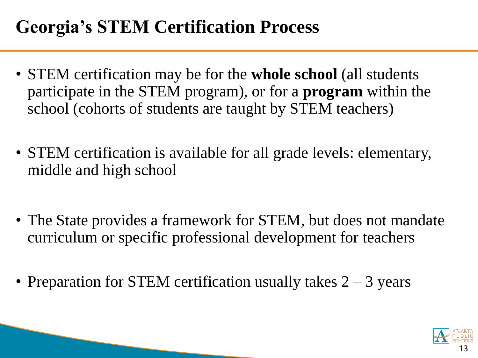## **Georgia's STEM Certification Process**

- STEM certification may be for the **whole school** (all students participate in the STEM program), or for a **program** within the school (cohorts of students are taught by STEM teachers)
- STEM certification is available for all grade levels: elementary, middle and high school
- The State provides a framework for STEM, but does not mandate curriculum or specific professional development for teachers
- Preparation for STEM certification usually takes  $2 3$  years

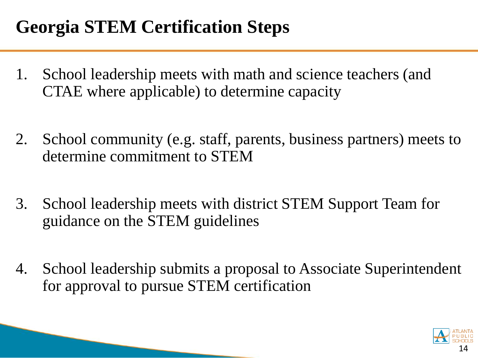# **Georgia STEM Certification Steps**

- 1. School leadership meets with math and science teachers (and CTAE where applicable) to determine capacity
- 2. School community (e.g. staff, parents, business partners) meets to determine commitment to STEM
- 3. School leadership meets with district STEM Support Team for guidance on the STEM guidelines
- 4. School leadership submits a proposal to Associate Superintendent for approval to pursue STEM certification

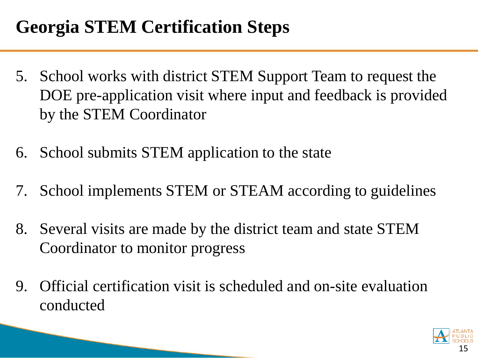# **Georgia STEM Certification Steps**

- 5. School works with district STEM Support Team to request the DOE pre-application visit where input and feedback is provided by the STEM Coordinator
- 6. School submits STEM application to the state
- 7. School implements STEM or STEAM according to guidelines
- 8. Several visits are made by the district team and state STEM Coordinator to monitor progress
- 9. Official certification visit is scheduled and on-site evaluation conducted

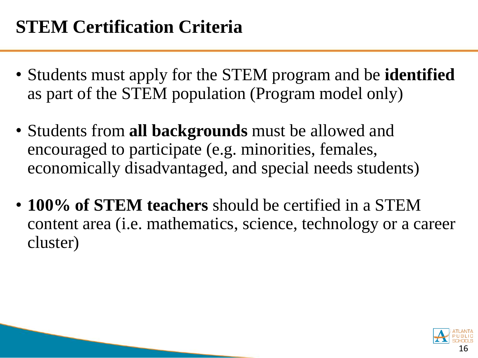- Students must apply for the STEM program and be **identified**  as part of the STEM population (Program model only)
- Students from **all backgrounds** must be allowed and encouraged to participate (e.g. minorities, females, economically disadvantaged, and special needs students)
- **100% of STEM teachers** should be certified in a STEM content area (i.e. mathematics, science, technology or a career cluster)

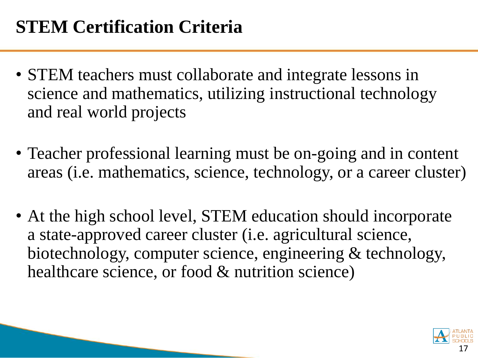- STEM teachers must collaborate and integrate lessons in science and mathematics, utilizing instructional technology and real world projects
- Teacher professional learning must be on-going and in content areas (i.e. mathematics, science, technology, or a career cluster)
- At the high school level, STEM education should incorporate a state-approved career cluster (i.e. agricultural science, biotechnology, computer science, engineering & technology, healthcare science, or food & nutrition science)

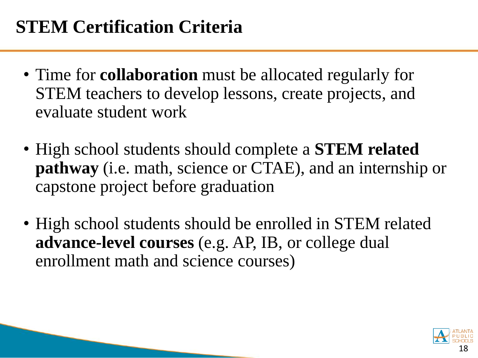- Time for **collaboration** must be allocated regularly for STEM teachers to develop lessons, create projects, and evaluate student work
- High school students should complete a **STEM related pathway** (i.e. math, science or CTAE), and an internship or capstone project before graduation
- High school students should be enrolled in STEM related **advance-level courses** (e.g. AP, IB, or college dual enrollment math and science courses)

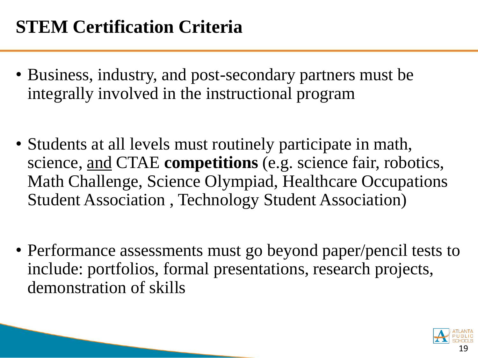- Business, industry, and post-secondary partners must be integrally involved in the instructional program
- Students at all levels must routinely participate in math, science, and CTAE **competitions** (e.g. science fair, robotics, Math Challenge, Science Olympiad, Healthcare Occupations Student Association , Technology Student Association)
- Performance assessments must go beyond paper/pencil tests to include: portfolios, formal presentations, research projects, demonstration of skills

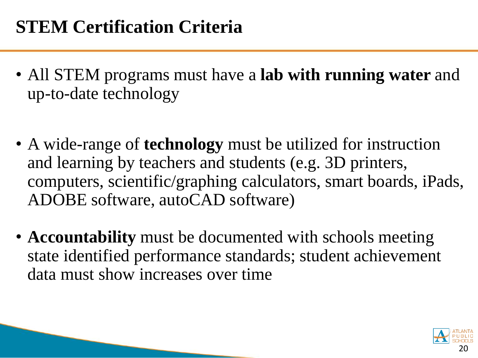- All STEM programs must have a **lab with running water** and up-to-date technology
- A wide-range of **technology** must be utilized for instruction and learning by teachers and students (e.g. 3D printers, computers, scientific/graphing calculators, smart boards, iPads, ADOBE software, autoCAD software)
- **Accountability** must be documented with schools meeting state identified performance standards; student achievement data must show increases over time

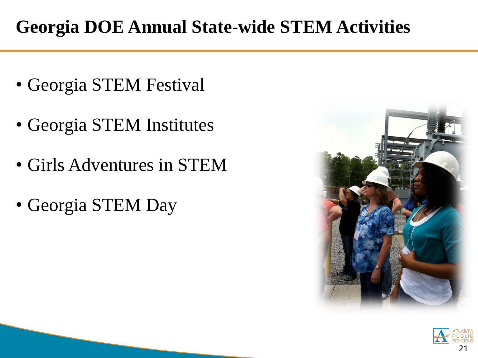# **Georgia DOE Annual State-wide STEM Activities**

- Georgia STEM Festival
- Georgia STEM Institutes
- Girls Adventures in STEM
- Georgia STEM Day



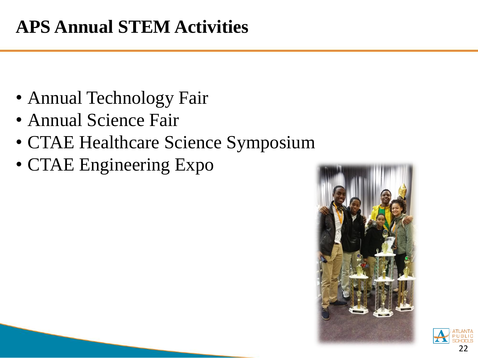## **APS Annual STEM Activities**

- Annual Technology Fair
- Annual Science Fair
- CTAE Healthcare Science Symposium
- CTAE Engineering Expo



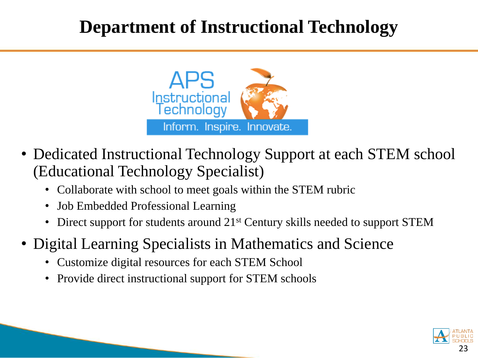### **Department of Instructional Technology**



- Dedicated Instructional Technology Support at each STEM school (Educational Technology Specialist)
	- Collaborate with school to meet goals within the STEM rubric
	- Job Embedded Professional Learning
	- Direct support for students around 21<sup>st</sup> Century skills needed to support STEM
- Digital Learning Specialists in Mathematics and Science
	- Customize digital resources for each STEM School
	- Provide direct instructional support for STEM schools

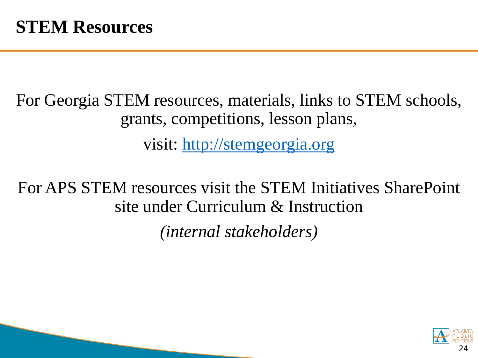For Georgia STEM resources, materials, links to STEM schools, grants, competitions, lesson plans, visit: [http://stemgeorgia.org](http://stemgeorgia.org/)

For APS STEM resources visit the STEM Initiatives SharePoint site under Curriculum & Instruction

*(internal stakeholders)* 

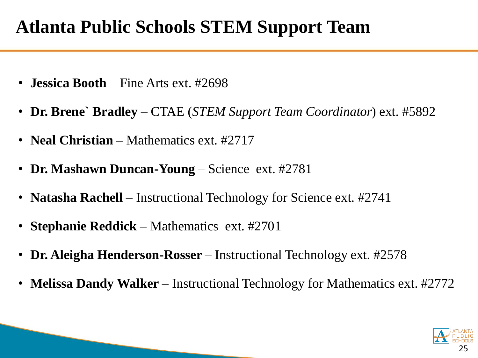### **Atlanta Public Schools STEM Support Team**

- **Jessica Booth**  Fine Arts ext. #2698
- **Dr. Brene` Bradley**  CTAE (*STEM Support Team Coordinator*) ext. #5892
- **Neal Christian** Mathematics ext. #2717
- Dr. Mashawn Duncan-Young Science ext. #2781
- **Natasha Rachell** Instructional Technology for Science ext. #2741
- **Stephanie Reddick**  Mathematics ext. #2701
- **Dr. Aleigha Henderson-Rosser** Instructional Technology ext. #2578
- **Melissa Dandy Walker**  Instructional Technology for Mathematics ext. #2772